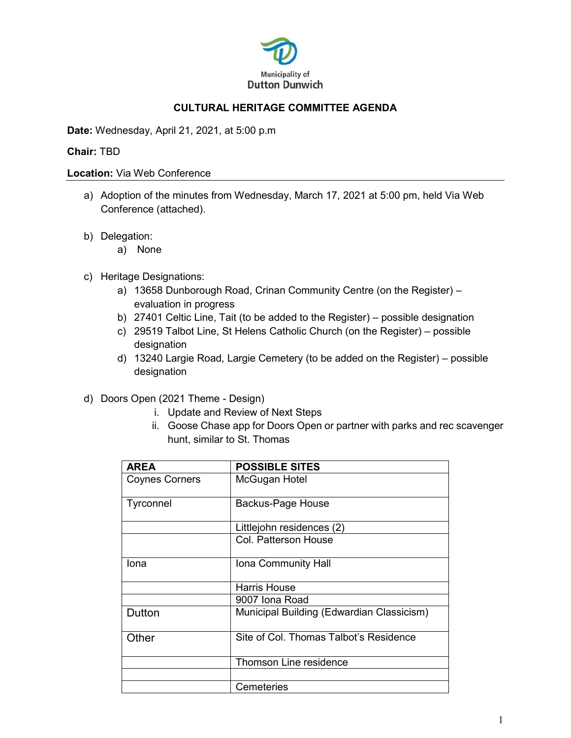

## **CULTURAL HERITAGE COMMITTEE AGENDA**

**Date:** Wednesday, April 21, 2021, at 5:00 p.m

## **Chair:** TBD

## **Location:** Via Web Conference

- a) Adoption of the minutes from Wednesday, March 17, 2021 at 5:00 pm, held Via Web Conference (attached).
- b) Delegation:
	- a) None
- c) Heritage Designations:
	- a) 13658 Dunborough Road, Crinan Community Centre (on the Register) evaluation in progress
	- b) 27401 Celtic Line, Tait (to be added to the Register) possible designation
	- c) 29519 Talbot Line, St Helens Catholic Church (on the Register) possible designation
	- d) 13240 Largie Road, Largie Cemetery (to be added on the Register) possible designation
- d) Doors Open (2021 Theme Design)
	- i. Update and Review of Next Steps
	- ii. Goose Chase app for Doors Open or partner with parks and rec scavenger hunt, similar to St. Thomas

| <b>AREA</b>           | <b>POSSIBLE SITES</b>                     |
|-----------------------|-------------------------------------------|
| <b>Coynes Corners</b> | McGugan Hotel                             |
| Tyrconnel             | <b>Backus-Page House</b>                  |
|                       | Littlejohn residences (2)                 |
|                       | Col. Patterson House                      |
| lona                  | Iona Community Hall                       |
|                       | <b>Harris House</b>                       |
|                       | 9007 Iona Road                            |
| Dutton                | Municipal Building (Edwardian Classicism) |
| Other                 | Site of Col. Thomas Talbot's Residence    |
|                       | <b>Thomson Line residence</b>             |
|                       |                                           |
|                       | Cemeteries                                |